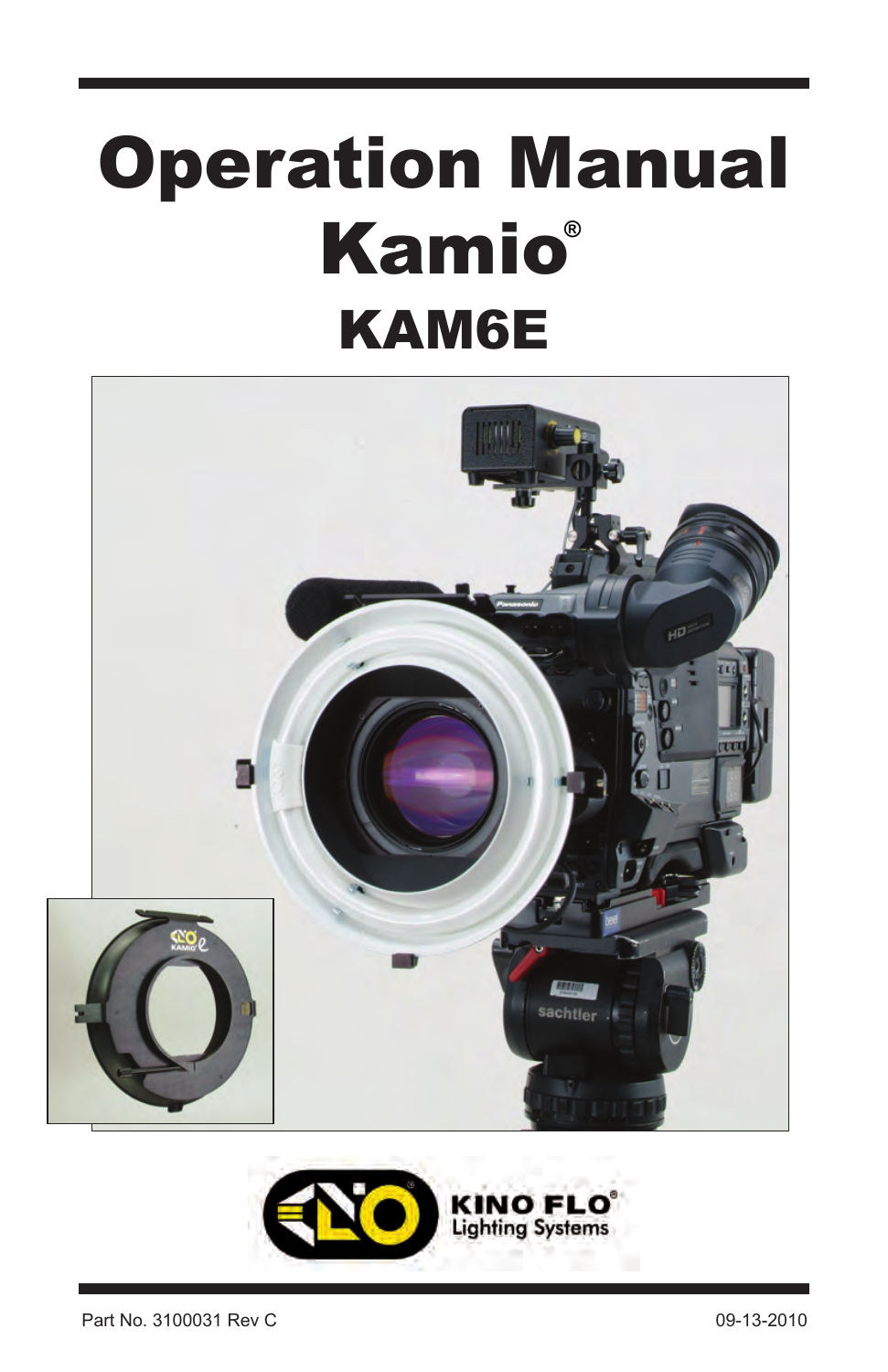# Operation Manual Kamio **®**KAM6E



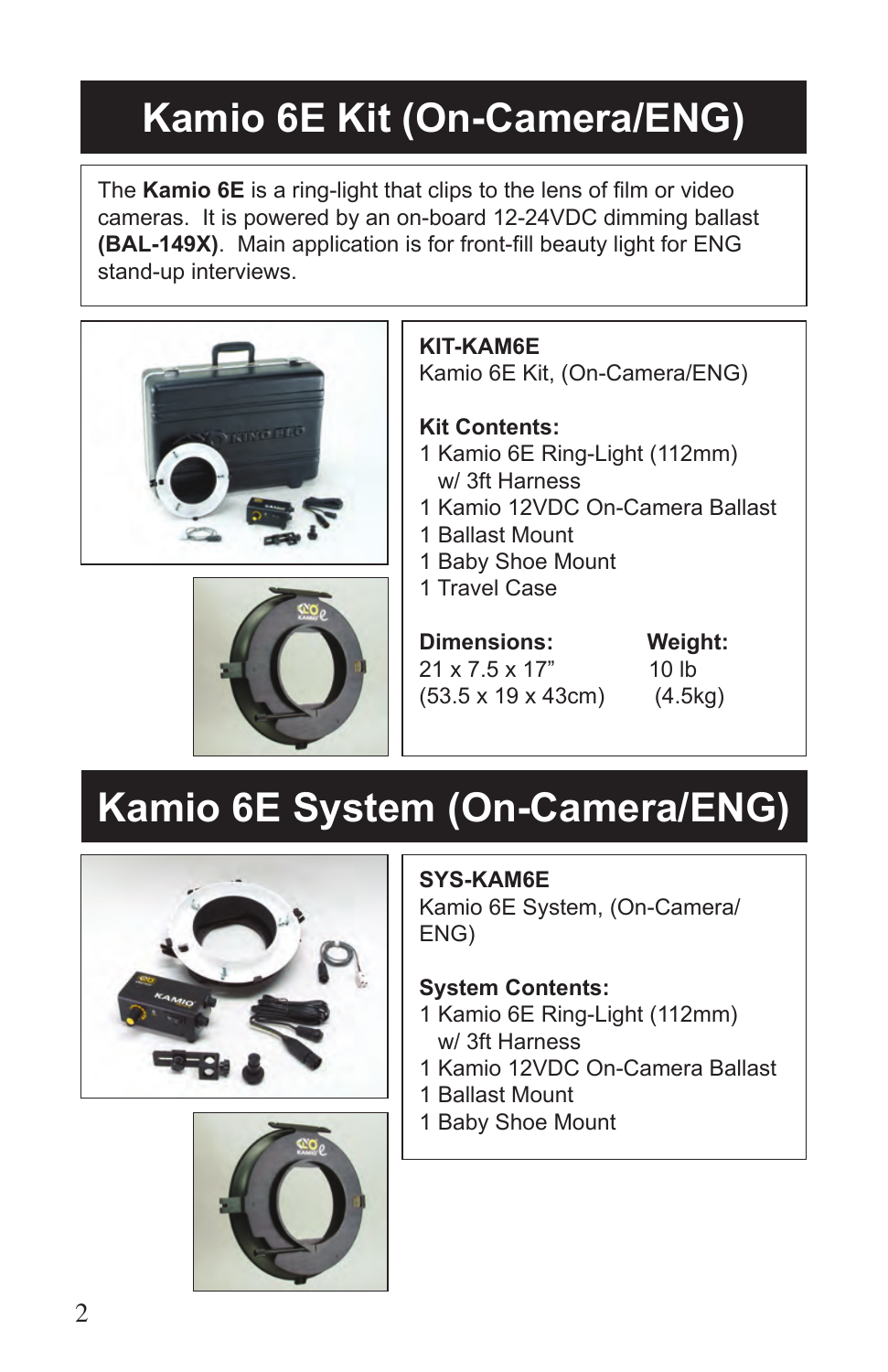### **Kamio 6E Kit (On-Camera/ENG)**

The **Kamio 6E** is a ring-light that clips to the lens of film or video cameras. It is powered by an on-board 12-24VDC dimming ballast **(BAL-149X)**. Main application is for front-fill beauty light for ENG stand-up interviews.





**KIT-KAM6E** Kamio 6E Kit, (On-Camera/ENG)

**Kit Contents:** 1 Kamio 6E Ring-Light (112mm) w/ 3ft Harness

- 1 Kamio 12VDC On-Camera Ballast
- 1 Ballast Mount
- 1 Baby Shoe Mount
- 1 Travel Case

**Dimensions: Weight:** 21 x 7.5 x 17" 10 lb (53.5 x 19 x 43cm) (4.5kg)

## **Kamio 6E System (On-Camera/ENG)**





### **SYS-KAM6E**

Kamio 6E System, (On-Camera/ ENG)

#### **System Contents:**

- 1 Kamio 6E Ring-Light (112mm) w/ 3ft Harness
- 1 Kamio 12VDC On-Camera Ballast
- 1 Ballast Mount
- 1 Baby Shoe Mount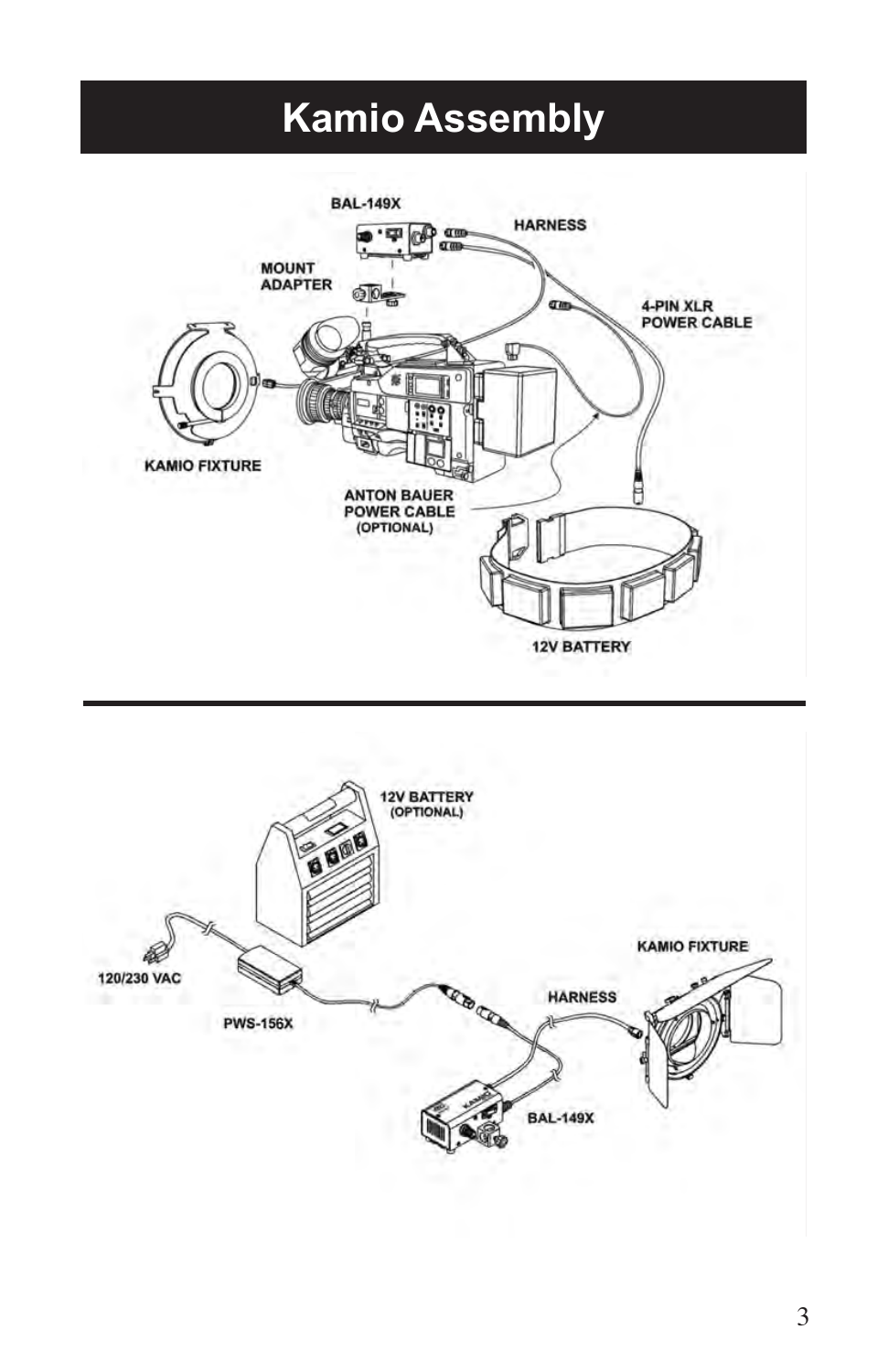### **Kamio Assembly**



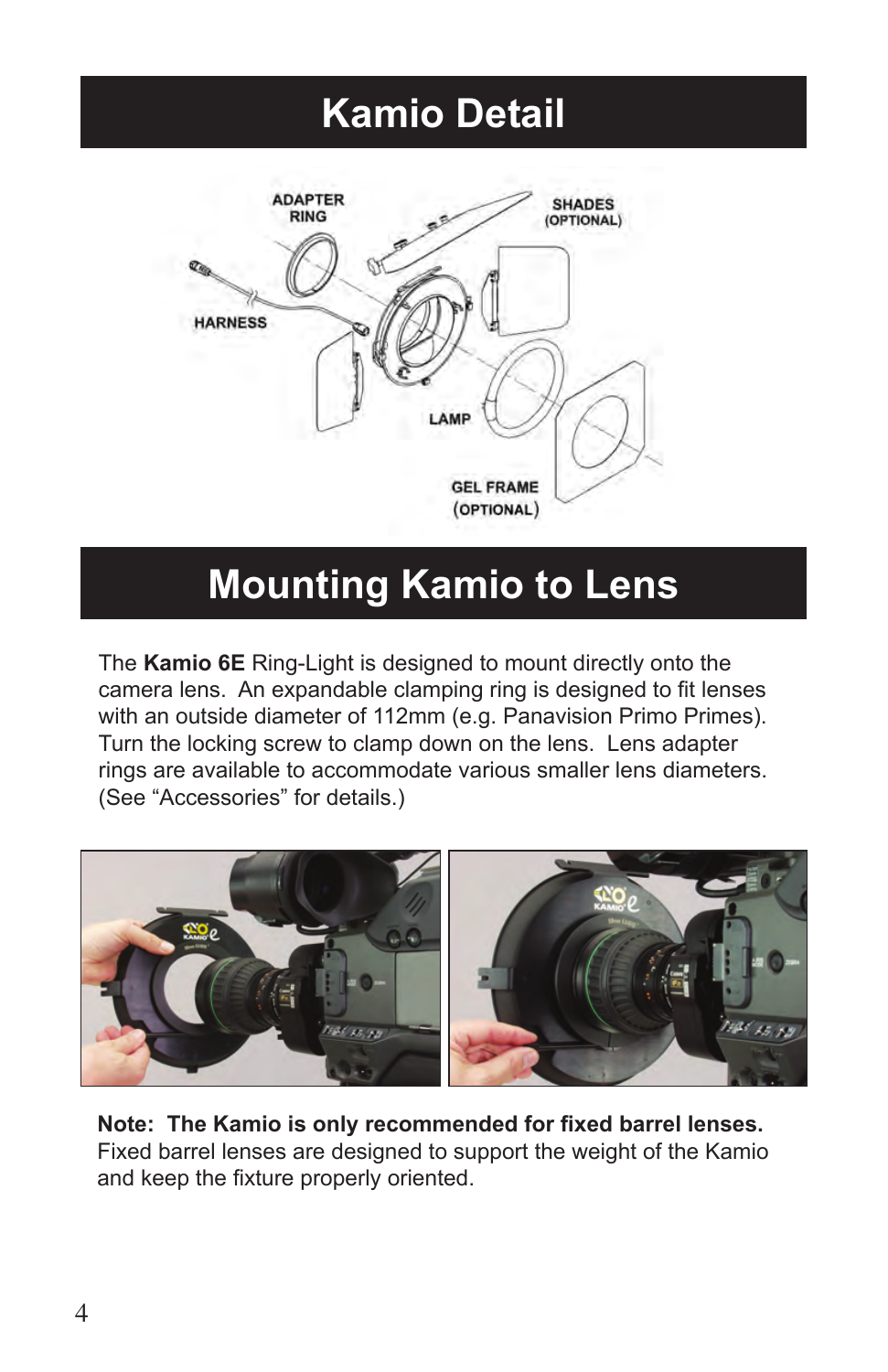### **Kamio Detail**



### **Mounting Kamio to Lens**

The **Kamio 6E** Ring-Light is designed to mount directly onto the camera lens. An expandable clamping ring is designed to fit lenses with an outside diameter of 112mm (e.g. Panavision Primo Primes). Turn the locking screw to clamp down on the lens. Lens adapter rings are available to accommodate various smaller lens diameters. (See "Accessories" for details.)



**Note: The Kamio is only recommended for fixed barrel lenses.** Fixed barrel lenses are designed to support the weight of the Kamio and keep the fixture properly oriented.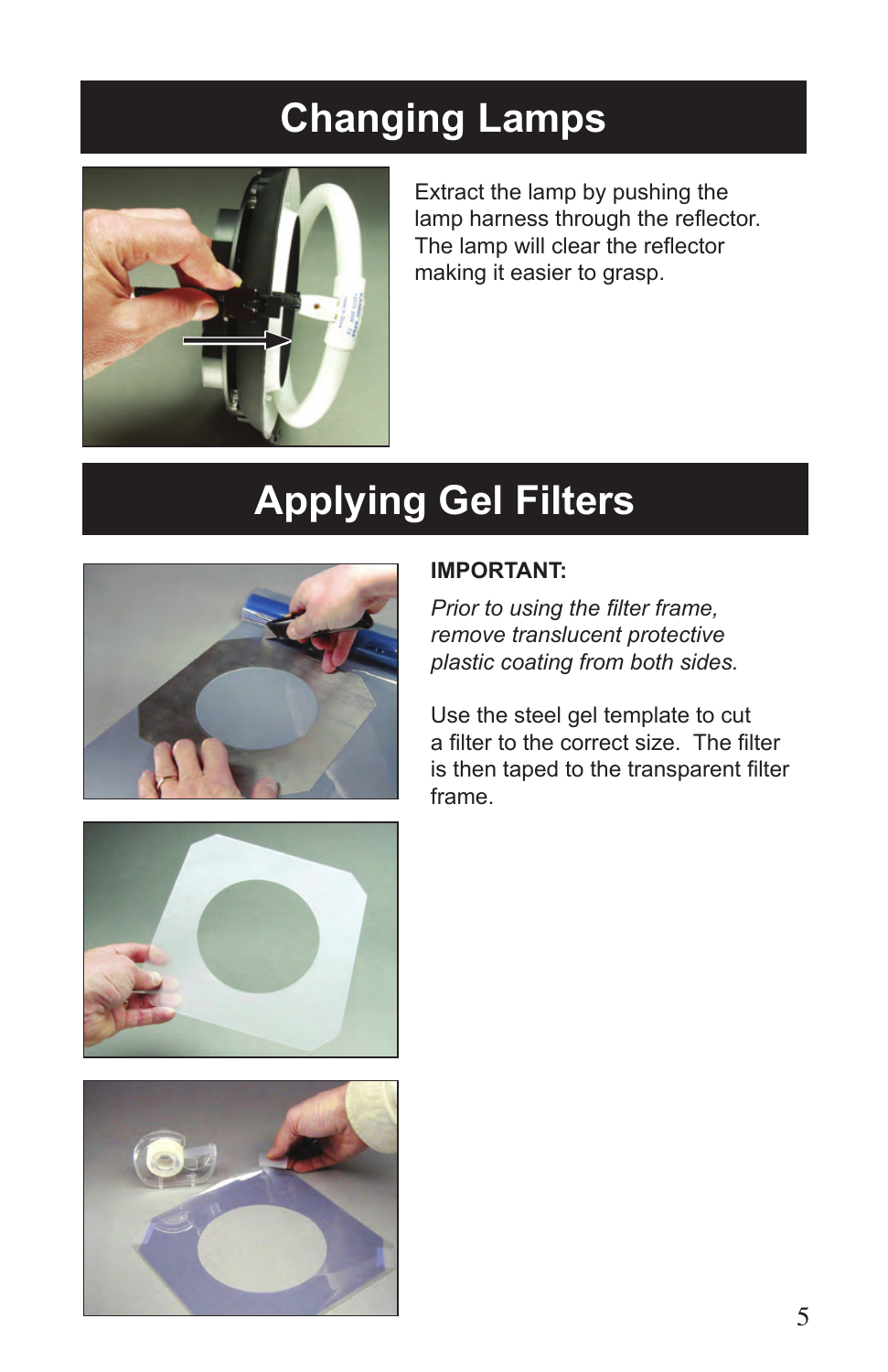### **Changing Lamps**



Extract the lamp by pushing the lamp harness through the reflector. The lamp will clear the reflector making it easier to grasp.

## **Applying Gel Filters**



#### **IMPORTANT:**

*Prior to using the filter frame, remove translucent protective plastic coating from both sides.* 

Use the steel gel template to cut a filter to the correct size. The filter is then taped to the transparent filter frame.



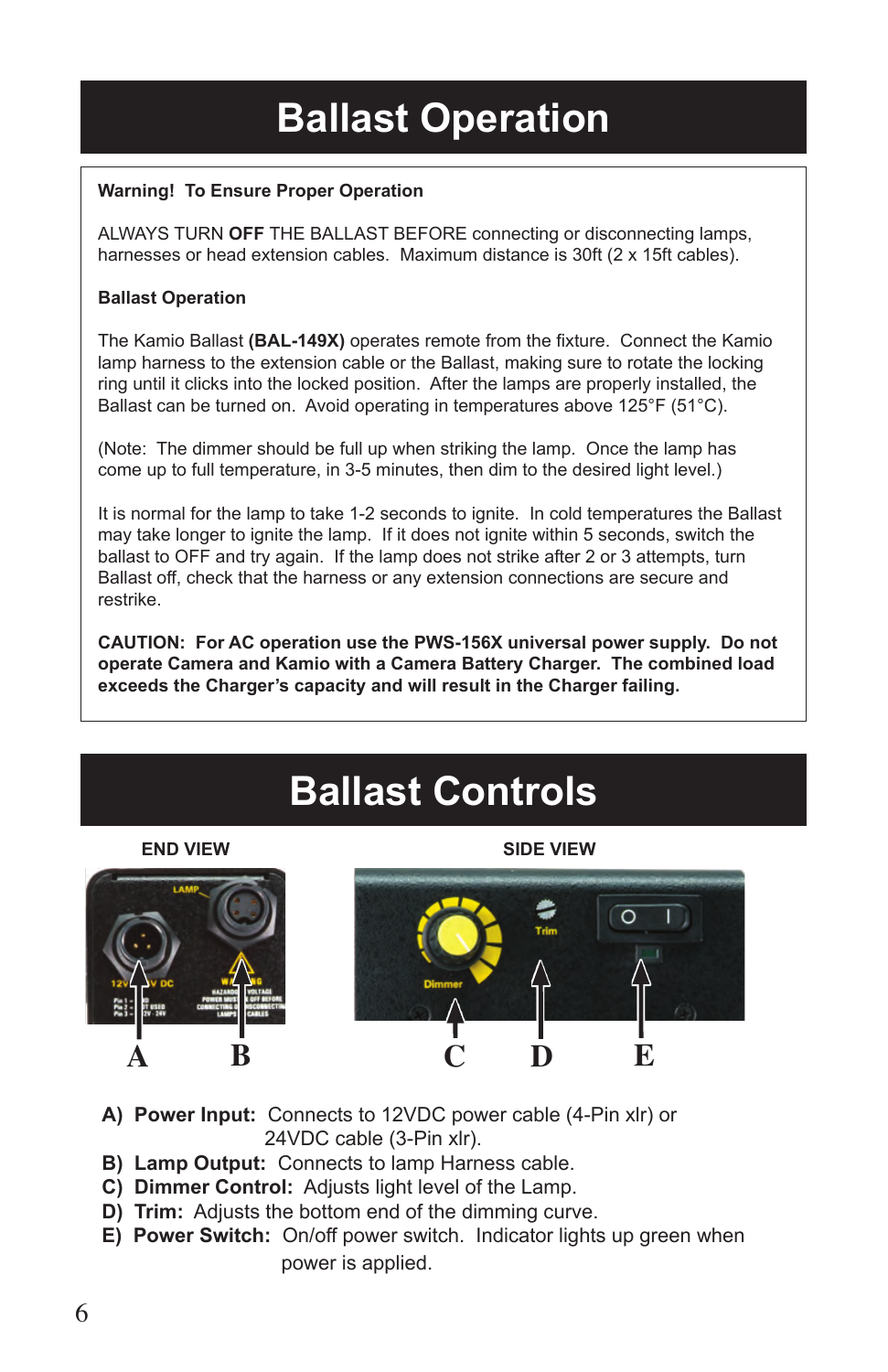### **Ballast Operation**

#### **Warning! To Ensure Proper Operation**

ALWAYS TURN **OFF** THE BALLAST BEFORE connecting or disconnecting lamps, harnesses or head extension cables. Maximum distance is 30ft (2 x 15ft cables).

#### **Ballast Operation**

The Kamio Ballast **(BAL-149X)** operates remote from the fixture. Connect the Kamio lamp harness to the extension cable or the Ballast, making sure to rotate the locking ring until it clicks into the locked position. After the lamps are properly installed, the Ballast can be turned on. Avoid operating in temperatures above 125°F (51°C).

(Note: The dimmer should be full up when striking the lamp. Once the lamp has come up to full temperature, in 3-5 minutes, then dim to the desired light level.)

It is normal for the lamp to take 1-2 seconds to ignite. In cold temperatures the Ballast may take longer to ignite the lamp. If it does not ignite within 5 seconds, switch the ballast to OFF and try again. If the lamp does not strike after 2 or 3 attempts, turn Ballast off, check that the harness or any extension connections are secure and restrike.

**CAUTION: For AC operation use the PWS-156X universal power supply. Do not operate Camera and Kamio with a Camera Battery Charger. The combined load exceeds the Charger's capacity and will result in the Charger failing.**

### **Ballast Controls**







- **A) Power Input:** Connects to 12VDC power cable (4-Pin xlr) or 24VDC cable (3-Pin xlr).
- **B) Lamp Output:** Connects to lamp Harness cable.
- **C) Dimmer Control:** Adjusts light level of the Lamp.
- **D) Trim:** Adjusts the bottom end of the dimming curve.
- **E) Power Switch:** On/off power switch. Indicator lights up green when power is applied.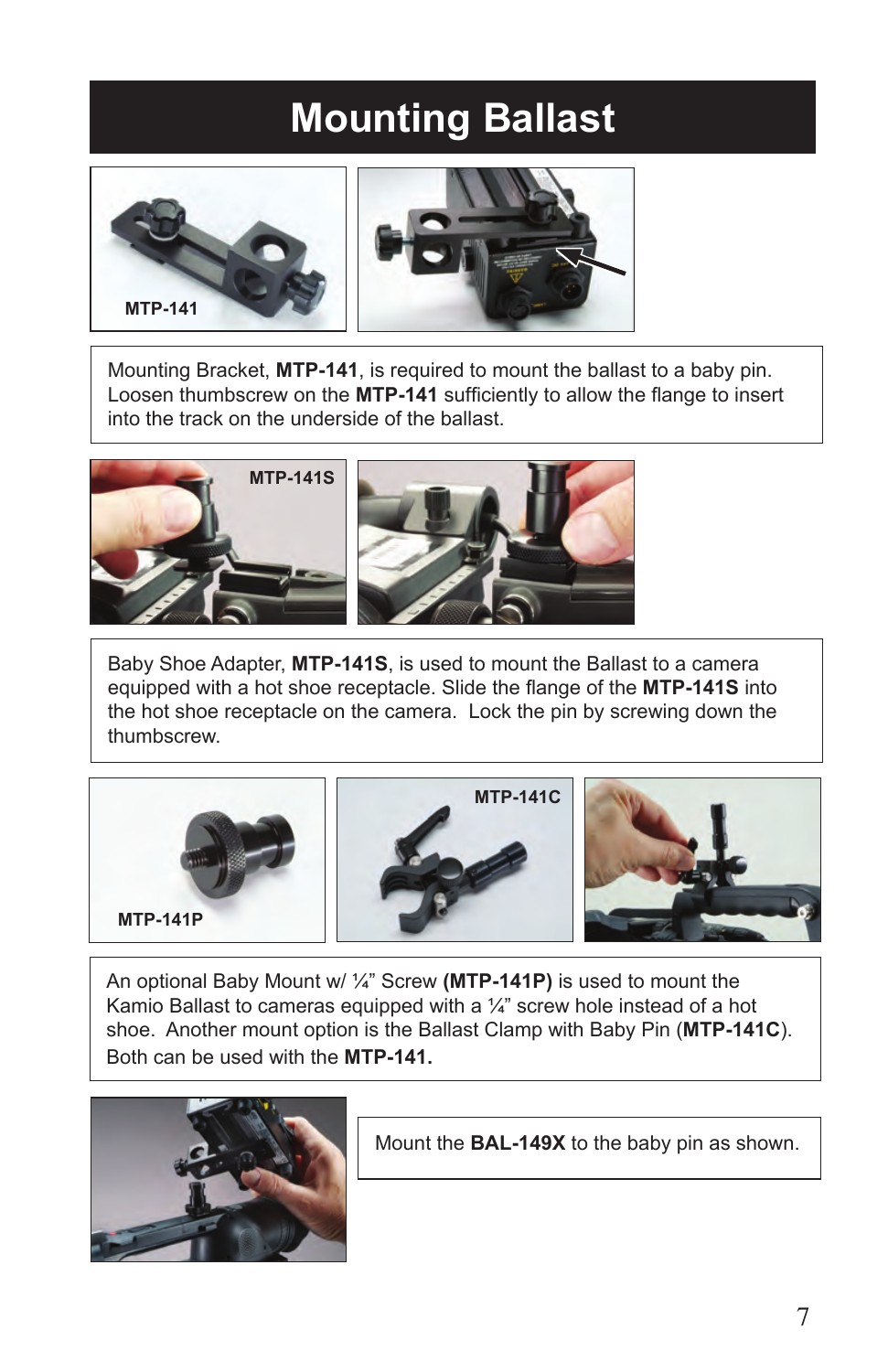### **Mounting Ballast**





Mounting Bracket, **MTP-141**, is required to mount the ballast to a baby pin. Loosen thumbscrew on the **MTP-141** sufficiently to allow the flange to insert into the track on the underside of the ballast.



Baby Shoe Adapter, **MTP-141S**, is used to mount the Ballast to a camera equipped with a hot shoe receptacle. Slide the flange of the **MTP-141S** into the hot shoe receptacle on the camera. Lock the pin by screwing down the thumbscrew.



An optional Baby Mount w/ ¼" Screw **(MTP-141P)** is used to mount the Kamio Ballast to cameras equipped with a  $\frac{1}{4}$  screw hole instead of a hot shoe. Another mount option is the Ballast Clamp with Baby Pin (**MTP-141C**). Both can be used with the **MTP-141.**



Mount the **BAL-149X** to the baby pin as shown.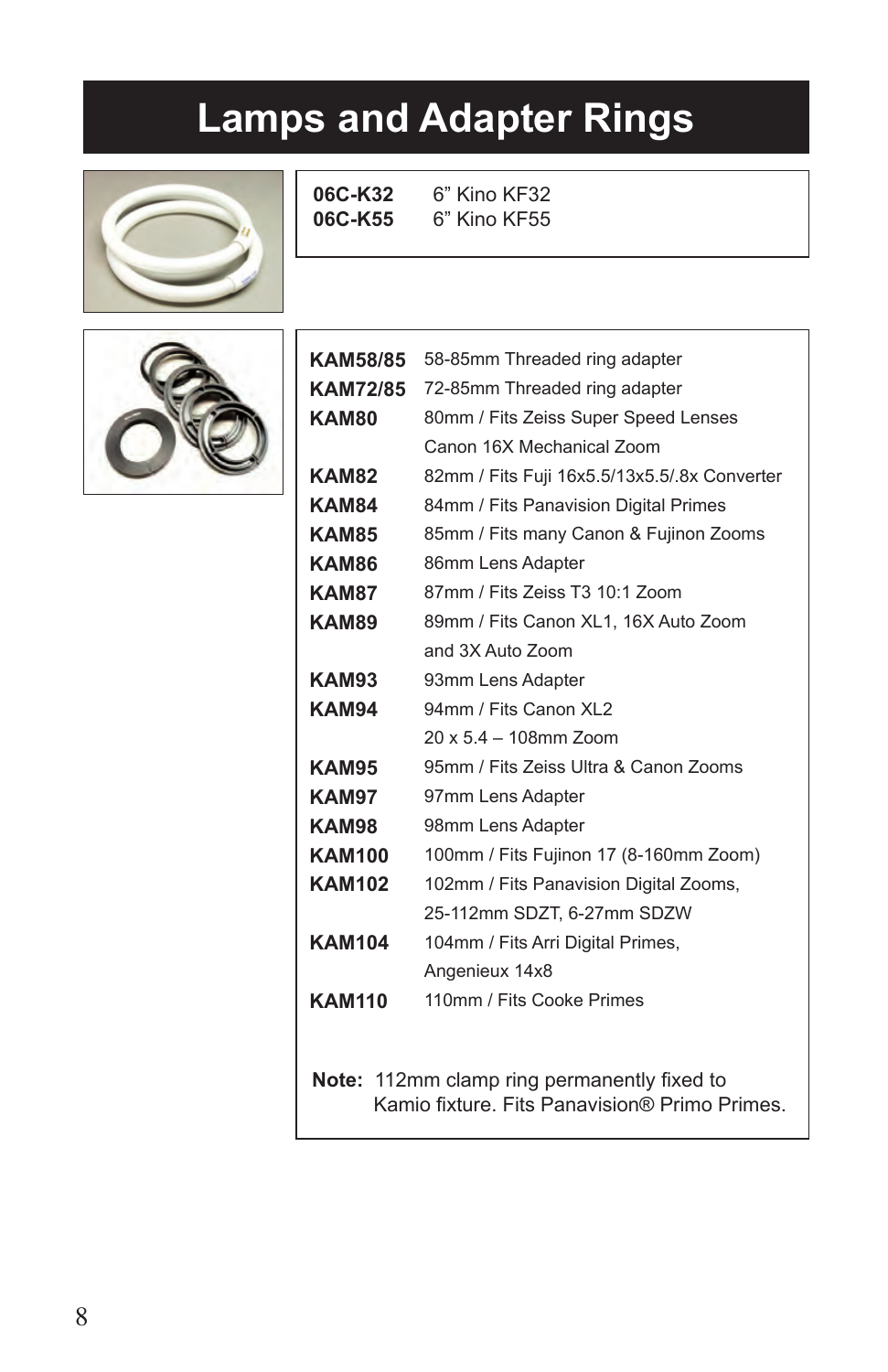### **Lamps and Adapter Rings**







| <b>KAM58/85</b>                             | 58-85mm Threaded ring adapter                 |  |  |  |
|---------------------------------------------|-----------------------------------------------|--|--|--|
| <b>KAM72/85</b>                             | 72-85mm Threaded ring adapter                 |  |  |  |
| KAM80                                       | 80mm / Fits Zeiss Super Speed Lenses          |  |  |  |
|                                             | Canon 16X Mechanical Zoom                     |  |  |  |
| KAM82                                       | 82mm / Fits Fuji 16x5.5/13x5.5/.8x Converter  |  |  |  |
| KAM84                                       | 84mm / Fits Panavision Digital Primes         |  |  |  |
| KAM85                                       | 85mm / Fits many Canon & Fujinon Zooms        |  |  |  |
| KAM86                                       | 86mm Lens Adapter                             |  |  |  |
| KAM87                                       | 87mm / Fits Zeiss T3 10:1 Zoom                |  |  |  |
| KAM89                                       | 89mm / Fits Canon XL1, 16X Auto Zoom          |  |  |  |
|                                             | and 3X Auto Zoom                              |  |  |  |
| KAM93                                       | 93mm Lens Adapter                             |  |  |  |
| KAM94                                       | 94mm / Fits Canon XL2                         |  |  |  |
|                                             | 20 x 5.4 - 108mm Zoom                         |  |  |  |
| KAM95                                       | 95mm / Fits Zeiss Ultra & Canon Zooms         |  |  |  |
| KAM97                                       | 97mm Lens Adapter                             |  |  |  |
| KAM98                                       | 98mm Lens Adapter                             |  |  |  |
| <b>KAM100</b>                               | 100mm / Fits Fujinon 17 (8-160mm Zoom)        |  |  |  |
| <b>KAM102</b>                               | 102mm / Fits Panavision Digital Zooms,        |  |  |  |
|                                             | 25-112mm SDZT, 6-27mm SDZW                    |  |  |  |
| <b>KAM104</b>                               | 104mm / Fits Arri Digital Primes,             |  |  |  |
|                                             | Angenieux 14x8                                |  |  |  |
| <b>KAM110</b>                               | 110mm / Fits Cooke Primes                     |  |  |  |
|                                             |                                               |  |  |  |
|                                             |                                               |  |  |  |
| Note: 112mm clamp ring permanently fixed to |                                               |  |  |  |
|                                             | Kamio fixture. Fits Panavision® Primo Primes. |  |  |  |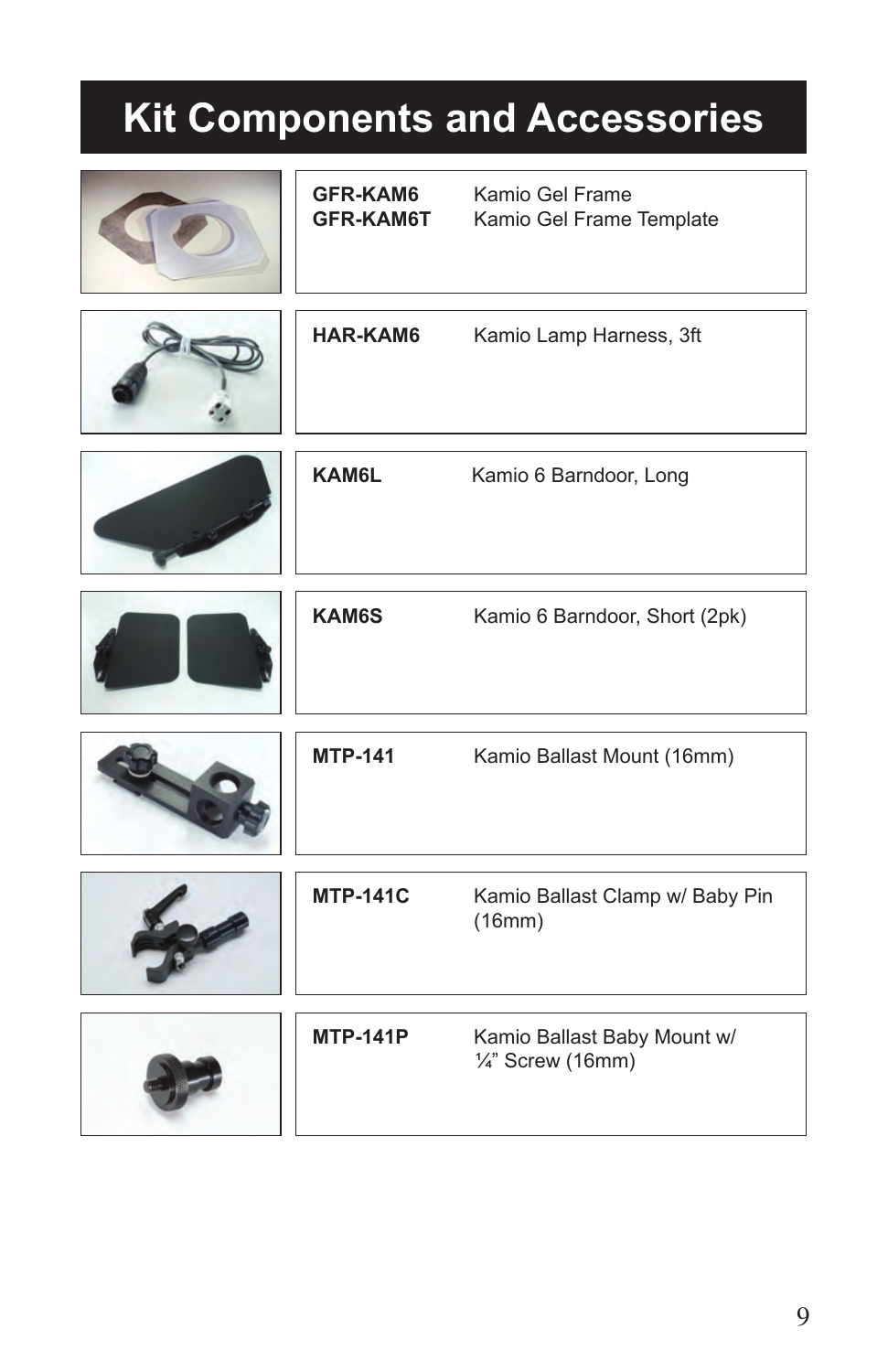## **Kit Components and Accessories**

| <b>GFR-KAM6</b><br><b>GFR-KAM6T</b> | Kamio Gel Frame<br>Kamio Gel Frame Template                 |
|-------------------------------------|-------------------------------------------------------------|
|                                     |                                                             |
| <b>HAR-KAM6</b>                     | Kamio Lamp Harness, 3ft                                     |
| <b>KAM6L</b>                        | Kamio 6 Barndoor, Long                                      |
| <b>KAM6S</b>                        | Kamio 6 Barndoor, Short (2pk)                               |
| <b>MTP-141</b>                      | Kamio Ballast Mount (16mm)                                  |
| <b>MTP-141C</b>                     | Kamio Ballast Clamp w/ Baby Pin<br>(16mm)                   |
| <b>MTP-141P</b>                     | Kamio Ballast Baby Mount w/<br>$\frac{1}{4}$ " Screw (16mm) |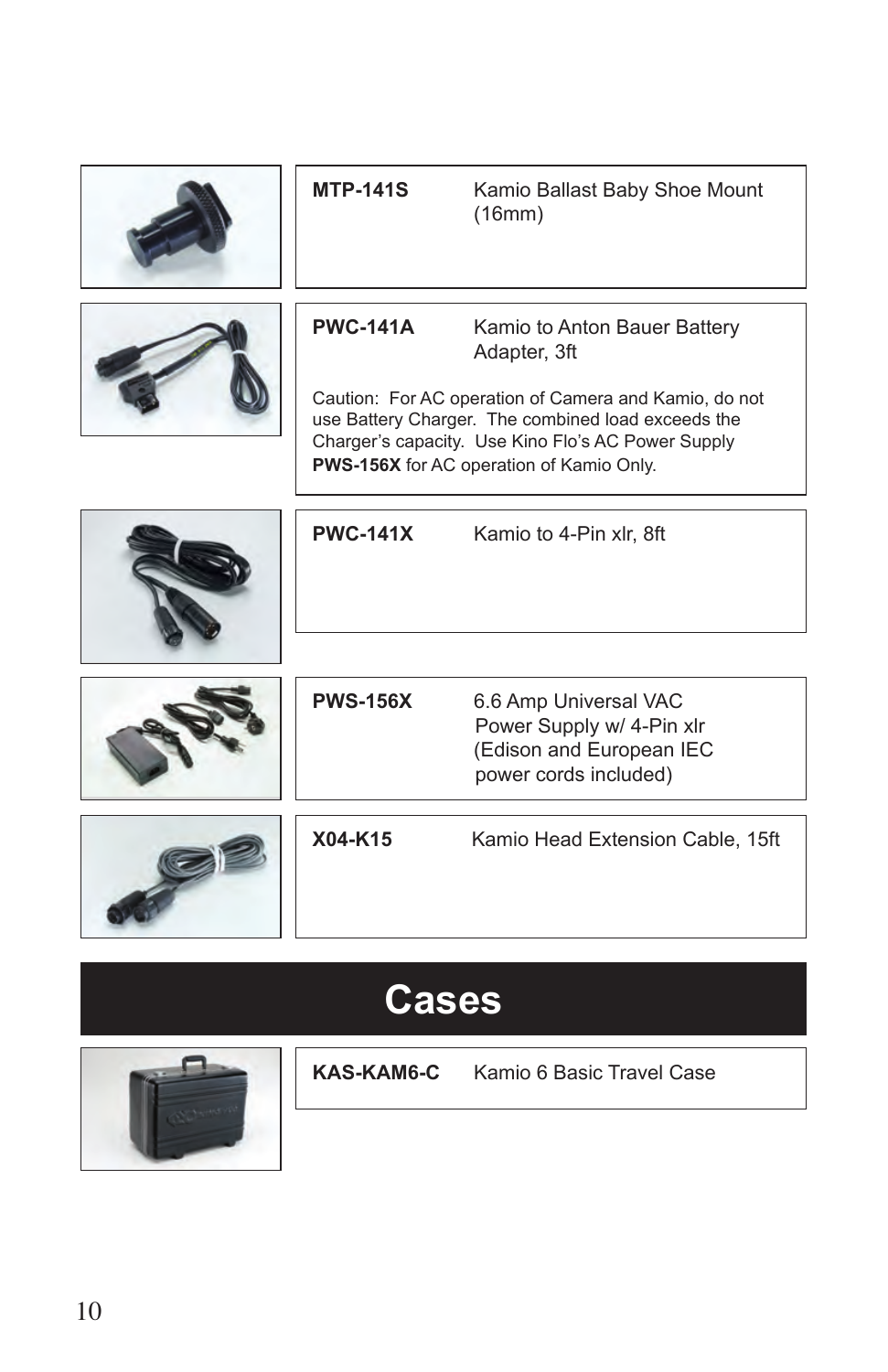|              | <b>MTP-141S</b> | Kamio Ballast Baby Shoe Mount<br>(16mm)                                                                                                                                                                                                                              |  |  |
|--------------|-----------------|----------------------------------------------------------------------------------------------------------------------------------------------------------------------------------------------------------------------------------------------------------------------|--|--|
|              | <b>PWC-141A</b> | Kamio to Anton Bauer Battery<br>Adapter, 3ft<br>Caution: For AC operation of Camera and Kamio, do not<br>use Battery Charger. The combined load exceeds the<br>Charger's capacity. Use Kino Flo's AC Power Supply<br><b>PWS-156X</b> for AC operation of Kamio Only. |  |  |
|              | <b>PWC-141X</b> | Kamio to 4-Pin xlr, 8ft                                                                                                                                                                                                                                              |  |  |
|              | <b>PWS-156X</b> | 6.6 Amp Universal VAC<br>Power Supply w/ 4-Pin xlr<br>(Edison and European IEC<br>power cords included)                                                                                                                                                              |  |  |
|              | X04-K15         | Kamio Head Extension Cable, 15ft                                                                                                                                                                                                                                     |  |  |
| <b>Gases</b> |                 |                                                                                                                                                                                                                                                                      |  |  |



**KAS-KAM6-C** Kamio 6 Basic Travel Case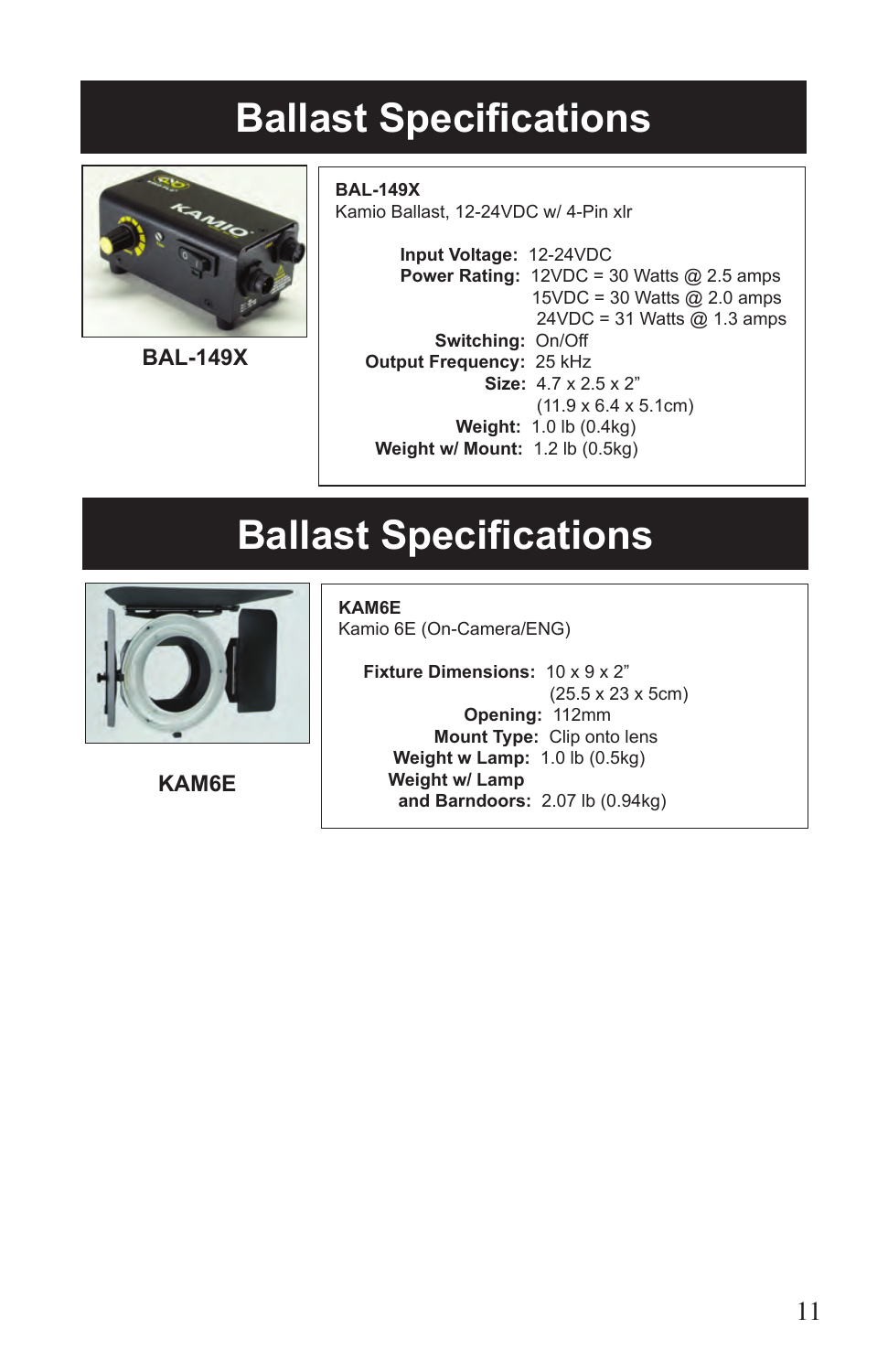### **Ballast Specifications**



**BAL-149X**

**BAL-149X** Kamio Ballast, 12-24VDC w/ 4-Pin xlr

> **Input Voltage:** 12-24VDC **Power Rating:** 12VDC = 30 Watts @ 2.5 amps 15VDC = 30 Watts @ 2.0 amps 24VDC = 31 Watts @ 1.3 amps **Switching:** On/Off **Output Frequency:** 25 kHz **Size:** 4.7 x 2.5 x 2" (11.9 x 6.4 x 5.1cm) **Weight:** 1.0 lb (0.4kg) **Weight w/ Mount:** 1.2 lb (0.5kg)

### **Ballast Specifications**



**KAM6E**

**KAM6E** Kamio 6E (On-Camera/ENG)

 **Fixture Dimensions:** 10 x 9 x 2" (25.5 x 23 x 5cm)  **Opening:** 112mm  **Mount Type:** Clip onto lens  **Weight w Lamp:** 1.0 lb (0.5kg)  **Weight w/ Lamp and Barndoors:** 2.07 lb (0.94kg)